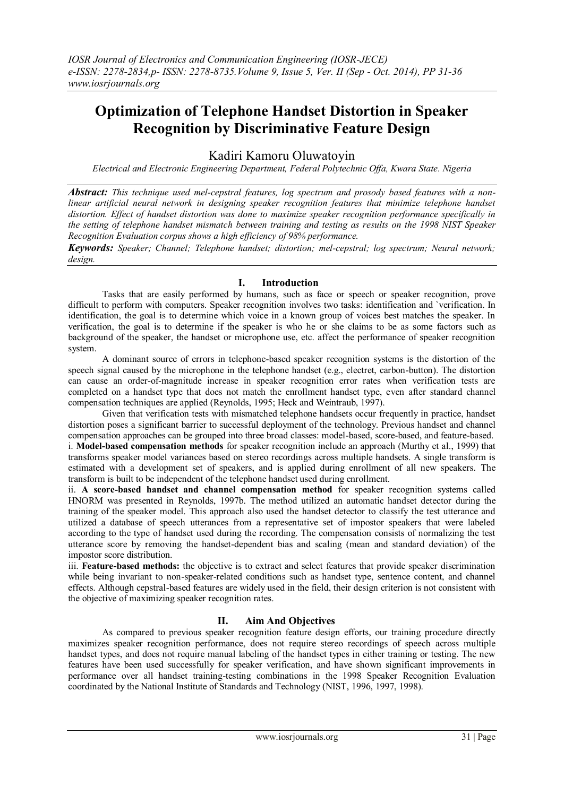# **Optimization of Telephone Handset Distortion in Speaker Recognition by Discriminative Feature Design**

## Kadiri Kamoru Oluwatoyin

*Electrical and Electronic Engineering Department, Federal Polytechnic Offa, Kwara State. Nigeria*

*Abstract: This technique used mel-cepstral features, log spectrum and prosody based features with a nonlinear artificial neural network in designing speaker recognition features that minimize telephone handset distortion. Effect of handset distortion was done to maximize speaker recognition performance specifically in the setting of telephone handset mismatch between training and testing as results on the 1998 NIST Speaker Recognition Evaluation corpus shows a high efficiency of 98% performance.*

*Keywords: Speaker; Channel; Telephone handset; distortion; mel-cepstral; log spectrum; Neural network; design.*

## **I. Introduction**

Tasks that are easily performed by humans, such as face or speech or speaker recognition, prove difficult to perform with computers. Speaker recognition involves two tasks: identification and `verification. In identification, the goal is to determine which voice in a known group of voices best matches the speaker. In verification, the goal is to determine if the speaker is who he or she claims to be as some factors such as background of the speaker, the handset or microphone use, etc. affect the performance of speaker recognition system.

A dominant source of errors in telephone-based speaker recognition systems is the distortion of the speech signal caused by the microphone in the telephone handset (e.g., electret, carbon-button). The distortion can cause an order-of-magnitude increase in speaker recognition error rates when verification tests are completed on a handset type that does not match the enrollment handset type, even after standard channel compensation techniques are applied (Reynolds, 1995; Heck and Weintraub, 1997).

Given that verification tests with mismatched telephone handsets occur frequently in practice, handset distortion poses a significant barrier to successful deployment of the technology. Previous handset and channel compensation approaches can be grouped into three broad classes: model-based, score-based, and feature-based.

i. **Model-based compensation methods** for speaker recognition include an approach (Murthy et al., 1999) that transforms speaker model variances based on stereo recordings across multiple handsets. A single transform is estimated with a development set of speakers, and is applied during enrollment of all new speakers. The transform is built to be independent of the telephone handset used during enrollment.

ii. **A score-based handset and channel compensation method** for speaker recognition systems called HNORM was presented in Reynolds, 1997b. The method utilized an automatic handset detector during the training of the speaker model. This approach also used the handset detector to classify the test utterance and utilized a database of speech utterances from a representative set of impostor speakers that were labeled according to the type of handset used during the recording. The compensation consists of normalizing the test utterance score by removing the handset-dependent bias and scaling (mean and standard deviation) of the impostor score distribution.

iii. **Feature-based methods:** the objective is to extract and select features that provide speaker discrimination while being invariant to non-speaker-related conditions such as handset type, sentence content, and channel effects. Although cepstral-based features are widely used in the field, their design criterion is not consistent with the objective of maximizing speaker recognition rates.

## **II. Aim And Objectives**

As compared to previous speaker recognition feature design efforts, our training procedure directly maximizes speaker recognition performance, does not require stereo recordings of speech across multiple handset types, and does not require manual labeling of the handset types in either training or testing. The new features have been used successfully for speaker verification, and have shown significant improvements in performance over all handset training-testing combinations in the 1998 Speaker Recognition Evaluation coordinated by the National Institute of Standards and Technology (NIST, 1996, 1997, 1998).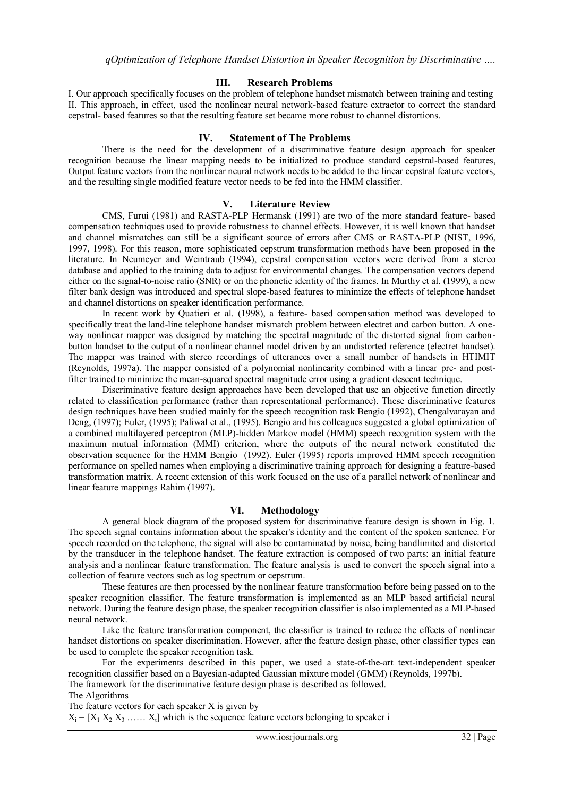### **III. Research Problems**

I. Our approach specifically focuses on the problem of telephone handset mismatch between training and testing II. This approach, in effect, used the nonlinear neural network-based feature extractor to correct the standard cepstral- based features so that the resulting feature set became more robust to channel distortions.

## **IV. Statement of The Problems**

There is the need for the development of a discriminative feature design approach for speaker recognition because the linear mapping needs to be initialized to produce standard cepstral-based features, Output feature vectors from the nonlinear neural network needs to be added to the linear cepstral feature vectors, and the resulting single modified feature vector needs to be fed into the HMM classifier.

## **V. Literature Review**

CMS, Furui (1981) and RASTA-PLP Hermansk (1991) are two of the more standard feature- based compensation techniques used to provide robustness to channel effects. However, it is well known that handset and channel mismatches can still be a significant source of errors after CMS or RASTA-PLP (NIST, 1996, 1997, 1998). For this reason, more sophisticated cepstrum transformation methods have been proposed in the literature. In Neumeyer and Weintraub (1994), cepstral compensation vectors were derived from a stereo database and applied to the training data to adjust for environmental changes. The compensation vectors depend either on the signal-to-noise ratio (SNR) or on the phonetic identity of the frames. In Murthy et al. (1999), a new filter bank design was introduced and spectral slope-based features to minimize the effects of telephone handset and channel distortions on speaker identification performance.

In recent work by Quatieri et al. (1998), a feature- based compensation method was developed to specifically treat the land-line telephone handset mismatch problem between electret and carbon button. A oneway nonlinear mapper was designed by matching the spectral magnitude of the distorted signal from carbonbutton handset to the output of a nonlinear channel model driven by an undistorted reference (electret handset). The mapper was trained with stereo recordings of utterances over a small number of handsets in HTIMIT (Reynolds, 1997a). The mapper consisted of a polynomial nonlinearity combined with a linear pre- and postfilter trained to minimize the mean-squared spectral magnitude error using a gradient descent technique.

Discriminative feature design approaches have been developed that use an objective function directly related to classification performance (rather than representational performance). These discriminative features design techniques have been studied mainly for the speech recognition task Bengio (1992), Chengalvarayan and Deng, (1997); Euler, (1995); Paliwal et al., (1995). Bengio and his colleagues suggested a global optimization of a combined multilayered perceptron (MLP)-hidden Markov model (HMM) speech recognition system with the maximum mutual information (MMI) criterion, where the outputs of the neural network constituted the observation sequence for the HMM Bengio (1992). Euler (1995) reports improved HMM speech recognition performance on spelled names when employing a discriminative training approach for designing a feature-based transformation matrix. A recent extension of this work focused on the use of a parallel network of nonlinear and linear feature mappings Rahim (1997).

## **VI. Methodology**

A general block diagram of the proposed system for discriminative feature design is shown in Fig. 1. The speech signal contains information about the speaker's identity and the content of the spoken sentence. For speech recorded on the telephone, the signal will also be contaminated by noise, being bandlimited and distorted by the transducer in the telephone handset. The feature extraction is composed of two parts: an initial feature analysis and a nonlinear feature transformation. The feature analysis is used to convert the speech signal into a collection of feature vectors such as log spectrum or cepstrum.

These features are then processed by the nonlinear feature transformation before being passed on to the speaker recognition classifier. The feature transformation is implemented as an MLP based artificial neural network. During the feature design phase, the speaker recognition classifier is also implemented as a MLP-based neural network.

Like the feature transformation component, the classifier is trained to reduce the effects of nonlinear handset distortions on speaker discrimination. However, after the feature design phase, other classifier types can be used to complete the speaker recognition task.

For the experiments described in this paper, we used a state-of-the-art text-independent speaker recognition classifier based on a Bayesian-adapted Gaussian mixture model (GMM) (Reynolds, 1997b).

The framework for the discriminative feature design phase is described as followed. The Algorithms

The feature vectors for each speaker X is given by

 $X_i = [X_1 \ X_2 \ X_3 \ \ldots \ X_t]$  which is the sequence feature vectors belonging to speaker i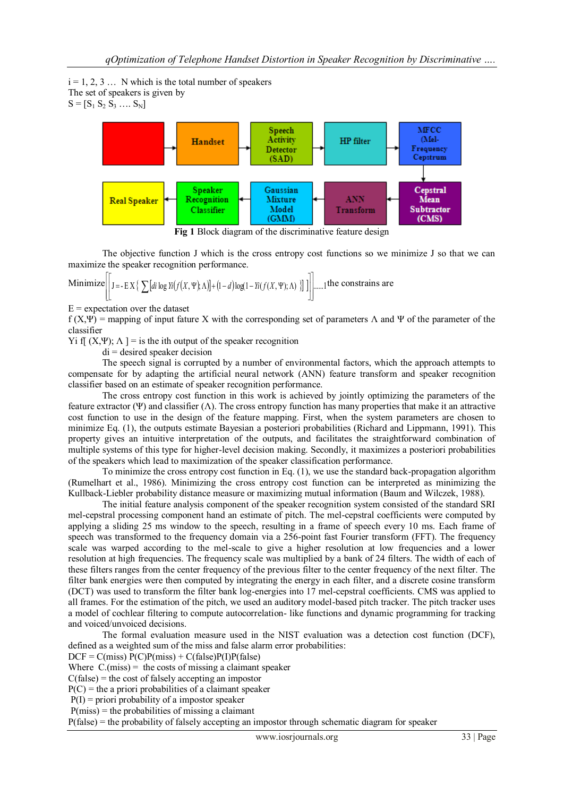$i = 1, 2, 3, \ldots$  N which is the total number of speakers The set of speakers is given by  $S = [S_1 S_2 S_3 \dots S_N]$ 



**Fig 1** Block diagram of the discriminative feature design

The objective function J which is the cross entropy cost functions so we minimize J so that we can maximize the speaker recognition performance.

Minimize 
$$
\left[\left[\mathbf{J} = -\mathbf{E}\mathbf{X}\left\{\sum [di \log Y_i(f(X, \Psi), \Lambda)] + (1-d) \log(1-Y_i(f(X, \Psi), \Lambda))\right\}\right]\right] \dots, 1
$$
 the constraints are

 $E$  = expectation over the dataset

f (X,Ψ) = mapping of input fature X with the corresponding set of parameters  $\Lambda$  and Ψ of the parameter of the classifier

Yi f[  $(X, \Psi)$ ;  $\Lambda$  ] = is the ith output of the speaker recognition

 $di =$  desired speaker decision

The speech signal is corrupted by a number of environmental factors, which the approach attempts to compensate for by adapting the artificial neural network (ANN) feature transform and speaker recognition classifier based on an estimate of speaker recognition performance.

The cross entropy cost function in this work is achieved by jointly optimizing the parameters of the feature extractor (Ψ) and classifier (Λ). The cross entropy function has many properties that make it an attractive cost function to use in the design of the feature mapping. First, when the system parameters are chosen to minimize Eq. (1), the outputs estimate Bayesian a posteriori probabilities (Richard and Lippmann, 1991). This property gives an intuitive interpretation of the outputs, and facilitates the straightforward combination of multiple systems of this type for higher-level decision making. Secondly, it maximizes a posteriori probabilities of the speakers which lead to maximization of the speaker classification performance.

To minimize the cross entropy cost function in Eq. (1), we use the standard back-propagation algorithm (Rumelhart et al., 1986). Minimizing the cross entropy cost function can be interpreted as minimizing the Kullback-Liebler probability distance measure or maximizing mutual information (Baum and Wilczek, 1988).

The initial feature analysis component of the speaker recognition system consisted of the standard SRI mel-cepstral processing component hand an estimate of pitch. The mel-cepstral coefficients were computed by applying a sliding 25 ms window to the speech, resulting in a frame of speech every 10 ms. Each frame of speech was transformed to the frequency domain via a 256-point fast Fourier transform (FFT). The frequency scale was warped according to the mel-scale to give a higher resolution at low frequencies and a lower resolution at high frequencies. The frequency scale was multiplied by a bank of 24 filters. The width of each of these filters ranges from the center frequency of the previous filter to the center frequency of the next filter. The filter bank energies were then computed by integrating the energy in each filter, and a discrete cosine transform (DCT) was used to transform the filter bank log-energies into 17 mel-cepstral coefficients. CMS was applied to all frames. For the estimation of the pitch, we used an auditory model-based pitch tracker. The pitch tracker uses a model of cochlear filtering to compute autocorrelation- like functions and dynamic programming for tracking and voiced/unvoiced decisions.

The formal evaluation measure used in the NIST evaluation was a detection cost function (DCF), defined as a weighted sum of the miss and false alarm error probabilities:

 $DCF = C(miss) P(C)P(miss) + C(false)P(I)P(false)$ 

Where  $C(miss)$  = the costs of missing a claimant speaker

 $C(false)$  = the cost of falsely accepting an impostor

 $P(C)$  = the a priori probabilities of a claimant speaker

 $P(I)$  = priori probability of a impostor speaker

 $P(miss) =$  the probabilities of missing a claimant

P(false) = the probability of falsely accepting an impostor through schematic diagram for speaker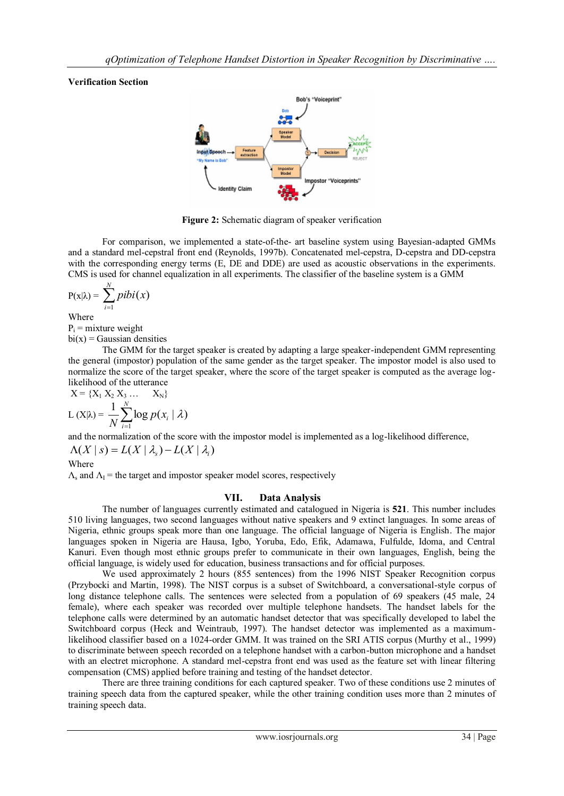### **Verification Section**



**Figure 2:** Schematic diagram of speaker verification

For comparison, we implemented a state-of-the- art baseline system using Bayesian-adapted GMMs and a standard mel-cepstral front end (Reynolds, 1997b). Concatenated mel-cepstra, D-cepstra and DD-cepstra with the corresponding energy terms (E, DE and DDE) are used as acoustic observations in the experiments. CMS is used for channel equalization in all experiments. The classifier of the baseline system is a GMM

$$
P(x|\lambda) = \sum_{i=1}^N pibi(x)
$$

Where

 $P_i$  = mixture weight

 $bi(x) = Gaussian$  densities

The GMM for the target speaker is created by adapting a large speaker-independent GMM representing the general (impostor) population of the same gender as the target speaker. The impostor model is also used to normalize the score of the target speaker, where the score of the target speaker is computed as the average loglikelihood of the utterance

$$
X = \{X_1 \ X_2 \ X_3 \ ... \ X_N\}
$$
  
L(X| $\lambda$ ) =  $\frac{1}{N} \sum_{i=1}^{N} \log p(x_i | \lambda)$ 

and the normalization of the score with the impostor model is implemented as a log-likelihood difference,

$$
\Lambda(X \mid s) = L(X \mid \lambda_s) - L(X \mid \lambda_i)
$$
  
Where

 $\Lambda_s$  and  $\Lambda_l$  = the target and impostor speaker model scores, respectively

### **VII. Data Analysis**

The number of languages currently estimated and catalogued in Nigeria is **521**. This number includes 510 living languages, two second languages without native speakers and 9 extinct languages. In some areas of Nigeria, ethnic groups speak more than one language. The official language of Nigeria is English. The major languages spoken in Nigeria are Hausa, Igbo, Yoruba, Edo, Efik, Adamawa, Fulfulde, Idoma, and Central Kanuri. Even though most ethnic groups prefer to communicate in their own languages, English, being the official language, is widely used for education, business transactions and for official purposes.

We used approximately 2 hours (855 sentences) from the 1996 NIST Speaker Recognition corpus (Przybocki and Martin, 1998). The NIST corpus is a subset of Switchboard, a conversational-style corpus of long distance telephone calls. The sentences were selected from a population of 69 speakers (45 male, 24 female), where each speaker was recorded over multiple telephone handsets. The handset labels for the telephone calls were determined by an automatic handset detector that was specifically developed to label the Switchboard corpus (Heck and Weintraub, 1997). The handset detector was implemented as a maximumlikelihood classifier based on a 1024-order GMM. It was trained on the SRI ATIS corpus (Murthy et al., 1999) to discriminate between speech recorded on a telephone handset with a carbon-button microphone and a handset with an electret microphone. A standard mel-cepstra front end was used as the feature set with linear filtering compensation (CMS) applied before training and testing of the handset detector.

There are three training conditions for each captured speaker. Two of these conditions use 2 minutes of training speech data from the captured speaker, while the other training condition uses more than 2 minutes of training speech data.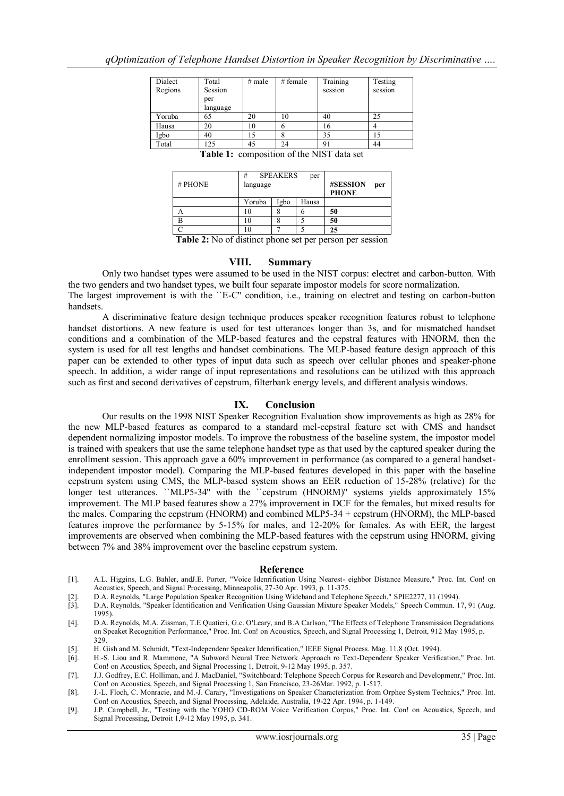| Dialect<br>Regions | Total<br>Session<br>per<br>language | $#$ male | # female | Training<br>session | Testing<br>session |
|--------------------|-------------------------------------|----------|----------|---------------------|--------------------|
| Yoruba             | 65                                  | 20       | 10       | 40                  | 25                 |
| Hausa              | 20                                  | 10       |          | 16                  |                    |
| Igbo               | 40                                  | 15       |          | 35                  | 15                 |
| Total              | 125                                 | 45       | 24       | 91                  | 44                 |

**Table 1:** composition of the NIST data set

| $#$ PHONE | #<br>language | <b>SPEAKERS</b> | #SESSION<br>per<br><b>PHONE</b> |    |
|-----------|---------------|-----------------|---------------------------------|----|
|           | Yoruba        | Igbo            | Hausa                           |    |
|           | 10            |                 | n                               | 50 |
|           | ١O            |                 |                                 | 50 |
|           | 10            |                 |                                 | 25 |

**Table 2:** No of distinct phone set per person per session

#### **VIII. Summary**

Only two handset types were assumed to be used in the NIST corpus: electret and carbon-button. With the two genders and two handset types, we built four separate impostor models for score normalization.

The largest improvement is with the ``E-C'' condition, i.e., training on electret and testing on carbon-button handsets.

A discriminative feature design technique produces speaker recognition features robust to telephone handset distortions. A new feature is used for test utterances longer than 3s, and for mismatched handset conditions and a combination of the MLP-based features and the cepstral features with HNORM, then the system is used for all test lengths and handset combinations. The MLP-based feature design approach of this paper can be extended to other types of input data such as speech over cellular phones and speaker-phone speech. In addition, a wider range of input representations and resolutions can be utilized with this approach such as first and second derivatives of cepstrum, filterbank energy levels, and different analysis windows.

### **IX. Conclusion**

Our results on the 1998 NIST Speaker Recognition Evaluation show improvements as high as 28% for the new MLP-based features as compared to a standard mel-cepstral feature set with CMS and handset dependent normalizing impostor models. To improve the robustness of the baseline system, the impostor model is trained with speakers that use the same telephone handset type as that used by the captured speaker during the enrollment session. This approach gave a 60% improvement in performance (as compared to a general handsetindependent impostor model). Comparing the MLP-based features developed in this paper with the baseline cepstrum system using CMS, the MLP-based system shows an EER reduction of 15-28% (relative) for the longer test utterances. ``MLP5-34" with the ``cepstrum (HNORM)'' systems yields approximately 15% improvement. The MLP based features show a 27% improvement in DCF for the females, but mixed results for the males. Comparing the cepstrum (HNORM) and combined MLP5-34 + cepstrum (HNORM), the MLP-based features improve the performance by 5-15% for males, and 12-20% for females. As with EER, the largest improvements are observed when combining the MLP-based features with the cepstrum using HNORM, giving between 7% and 38% improvement over the baseline cepstrum system.

#### **Reference**

- [1]. A.L. Higgins, L.G. Bahler, andJ.E. Porter, "Voice Idenrification Using Nearest- eighbor Distance Measure," Proc. Int. Con! on Acoustics, Speech, and Signal Processing, Minneapolis, 27-30 Apr. 1993, p. 11-375.
- [2]. D.A. Reynolds, "Large Population Speaker Recognition Using Wideband and Telephone Speech," SPIE2277, 11 (1994).
- [3]. D.A. Reynolds, "Speaker Identification and Verification Using Gaussian Mixture Speaker Models," Speech Commun. 17, 91 (Aug. 1995).
- [4]. D.A. Reynolds, M.A. Zissman, T.E Quatieri, G.c. O'Leary, and B.A Carlson, "The Effects of Telephone Transmission Degradations on Speaket Recognition Performance," Proc. Int. Con! on Acoustics, Speech, and Signal Processing 1, Detroit, 912 May 1995, p. 329.
- [5]. H. Gish and M. Schmidt, "Text-Independenr Speaker Idenrification," IEEE Signal Process. Mag. 11,8 (Oct. 1994).
- [6]. H.-S. Liou and R. Mammone, "A Subword Neural Tree Network Approach ro Text-Dependenr Speaker Verification," Proc. Int. Con! on Acoustics, Speech, and Signal Processing 1, Detroit, 9-12 May 1995, p. 357.
- [7]. J.J. Godfrey, E.C. Holliman, and J. MacDaniel, "Switchboard: Telephone Speech Corpus for Research and Developmenr," Proc. Int. Con! on Acoustics, Speech, and Signal Processing 1, San Francisco, 23-26Mar. 1992, p. 1-517.
- [8]. J.-L. Floch, C. Monracie, and M.-J. Carary, "Investigations on Speaker Characterization from Orphee System Technics," Proc. Int. Con! on Acoustics, Speech, and Signal Processing, Adelaide, Australia, 19-22 Apr. 1994, p. 1-149.
- [9]. J.P. Campbell, Jr., "Testing with the YOHO CD-ROM Voice Verification Corpus," Proc. Int. Con! on Acoustics, Speech, and Signal Processing, Detroit 1,9-12 May 1995, p. 341.